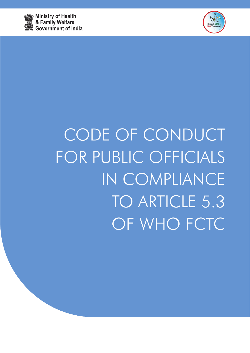



# CODE OF CONDUCT FOR PUBLIC OFFICIALS IN COMPLIANCE TO ARTICLE 5.3 OF WHO FCTC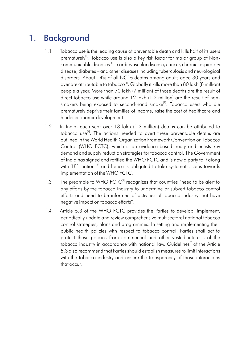# 1. Background

- 1.1 Tobacco use is the leading cause of preventable death and kills half of its users prematurely<sup>[1]</sup>. Tobacco use is also a key risk factor for major group of Noncommunicable diseases $^{[2]}$  – cardiovascular disease, cancer, chronic respiratory disease, diabetes – and other diseases including tuberculosis and neurological disorders. About 14% of all NCDs deaths among adults aged 30 years and over are attributable to tobacco $^{[3]}$ . Globally it kills more than 80 lakh (8 million) people a year. More than 70 lakh (7 million) of those deaths are the result of direct tobacco use while around 12 lakh (1.2 million) are the result of non smokers being exposed to second-hand smoke<sup>[1]</sup>. Tobacco users who die prematurely deprive their families of income, raise the cost of healthcare and hinder economic development.
- 1.2 In India, each year over 13 lakh (1.3 million) deaths can be attributed to tobacco use<sup>[4]</sup>. The actions needed to avert these preventable deaths are outlined in the World Health Organization Framework Convention on Tobacco Control (WHO FCTC), which is an evidence-based treaty and enlists key demand and supply reduction strategies for tobacco control. The Government of India has signed and ratified the WHO FCTC and is now a party to it along with 181 nations<sup> $[5]$ </sup> and hence is obligated to take systematic steps towards implementation of the WHO FCTC.
- 1.3 The preamble to WHO FCTC<sup>[6]</sup> recognizes that countries "need to be alert to any efforts by the tobacco Industry to undermine or subvert tobacco control efforts and need to be informed of activities of tobacco industry that have negative impact on tobacco efforts".
- 1.4 Article 5.3 of the WHO FCTC provides the Parties to develop, implement, periodically update and review comprehensive multisectoral national tobacco control strategies, plans and programmes. In setting and implementing their public health policies with respect to tobacco control, Parties shall act to protect these policies from commercial and other vested interests of the tobacco industry in accordance with national law. Guidelines<sup> $[7]$ </sup> of the Article 5.3 also recommend that Parties should establish measures to limit interactions with the tobacco industry and ensure the transparency of those interactions that occur.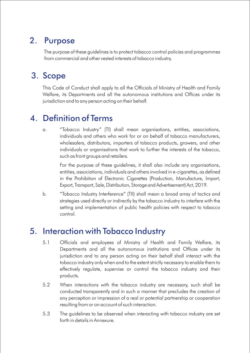### 2. Purpose

The purpose of these guidelines is to protect tobacco control policies and programmes from commercial and other vested interests of tobacco industry.

### 3. Scope

This Code of Conduct shall apply to all the Officials of Ministry of Health and Family Welfare, its Departments and all the autonomous institutions and Offices under its jurisdiction and to any person acting on their behalf.

### 4. Definition of Terms

a. "Tobacco Industry" (TI) shall mean organisations, entities, associations, individuals and others who work for or on behalf of tobacco manufacturers, wholesalers, distributors, importers of tobacco products, growers, and other individuals or organisations that work to further the interests of the tobacco, such as front groups and retailers.

For the purpose of these guidelines, it shall also include any organisations, entities, associations, individuals and others involved in e-cigarettes, as defined in the Prohibition of Electronic Cigarettes (Production, Manufacture, Import, Export, Transport, Sale, Distribution, Storage and Advertisement) Act, 2019.

b. "Tobacco Industry Interference" (TII) shall mean a broad array of tactics and strategies used directly or indirectly by the tobacco industry to interfere with the setting and implementation of public health policies with respect to tobacco control.

#### 5. Interaction with Tobacco Industry

- 5.1 Officials and employees of Ministry of Health and Family Welfare, its Departments and all the autonomous institutions and Offices under its jurisdiction and to any person acting on their behalf shall interact with the tobacco industry only when and to the extent strictly necessary to enable them to effectively regulate, supervise or control the tobacco industry and their products.
- 5.2 When interactions with the tobacco industry are necessary, such shall be conducted transparently and in such a manner that precludes the creation of any perception or impression of a real or potential partnership or cooperation resulting from or on account of such interaction.
- 5.3 The guidelines to be observed when interacting with tobacco industry are set forth in details in Annexure.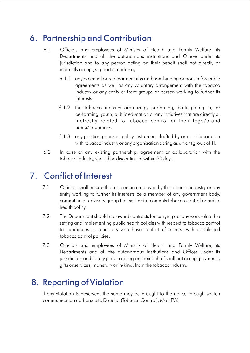# 6. Partnership and Contribution

- 6.1 Officials and employees of Ministry of Health and Family Welfare, its Departments and all the autonomous institutions and Offices under its jurisdiction and to any person acting on their behalf shall not directly or indirectly accept, support or endorse;
	- 6.1.1 any potential or real partnerships and non-binding or non-enforceable agreements as well as any voluntary arrangement with the tobacco industry or any entity or front groups or person working to further its interests.
	- 6.1.2 the tobacco industry organizing, promoting, participating in, or performing, youth, public education or any initiatives that are directly or indirectly related to tobacco control or their logo/brand name/trademark.
	- 6.1.3 any position paper or policy instrument drafted by or in collaboration with tobacco industry or any organization acting as a front group of TI.
- 6.2 In case of any existing partnership, agreement or collaboration with the tobacco industry, should be discontinued within 30 days.

## 7. Conflict of Interest

- 7.1 Officials shall ensure that no person employed by the tobacco industry or any entity working to further its interests be a member of any government body, committee or advisory group that sets or implements tobacco control or public health policy.
- 7.2 The Department should not award contracts for carrying out any work related to setting and implementing public health policies with respect to tobacco control to candidates or tenderers who have conflict of interest with established tobacco control policies.
- 7.3 Officials and employees of Ministry of Health and Family Welfare, its Departments and all the autonomous institutions and Offices under its jurisdiction and to any person acting on their behalf shall not accept payments, gifts or services, monetary or in-kind, from the tobacco industry.

#### 8. Reporting of Violation

If any violation is observed, the same may be brought to the notice through written communication addressed to Director (Tobacco Control), MoHFW.